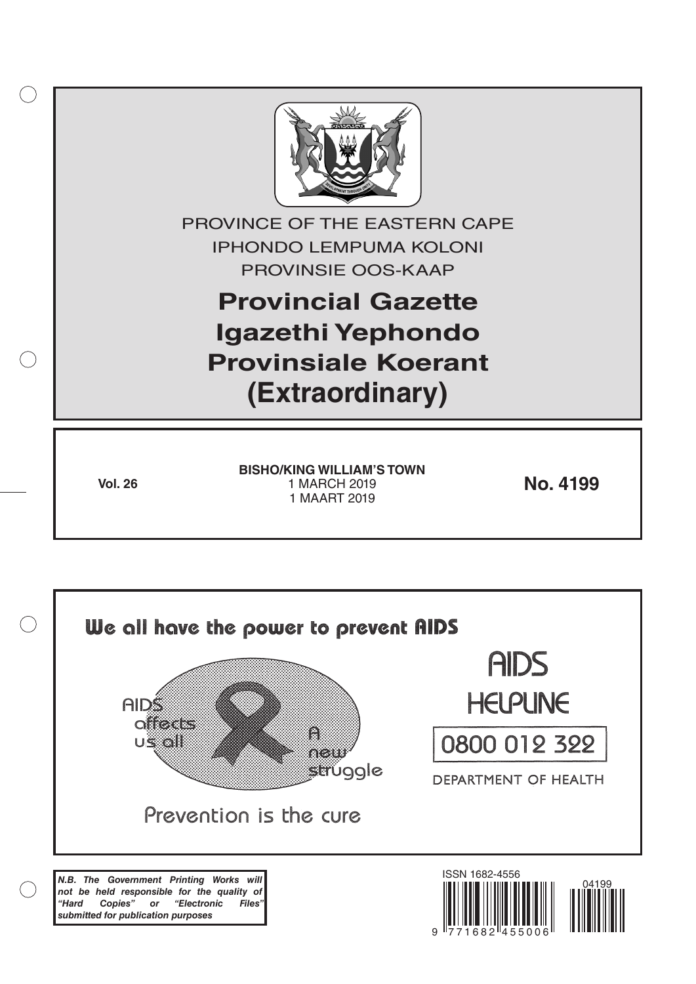

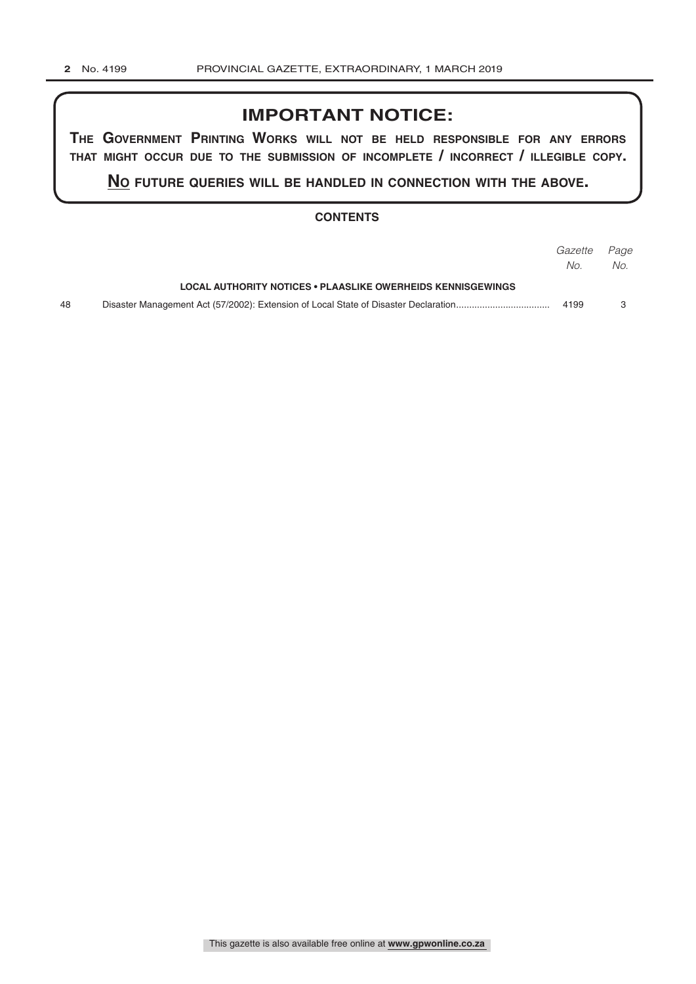# **IMPORTANT NOTICE:**

**The GovernmenT PrinTinG Works Will noT be held resPonsible for any errors ThaT miGhT occur due To The submission of incomPleTe / incorrecT / illeGible coPy.**

**no fuTure queries Will be handled in connecTion WiTh The above.**

#### **CONTENTS**

|    |                                                             | <i>Gazette Page</i> |     |
|----|-------------------------------------------------------------|---------------------|-----|
|    |                                                             | No.                 | No. |
|    | LOCAL AUTHORITY NOTICES • PLAASLIKE OWERHEIDS KENNISGEWINGS |                     |     |
| 48 |                                                             | 4199                |     |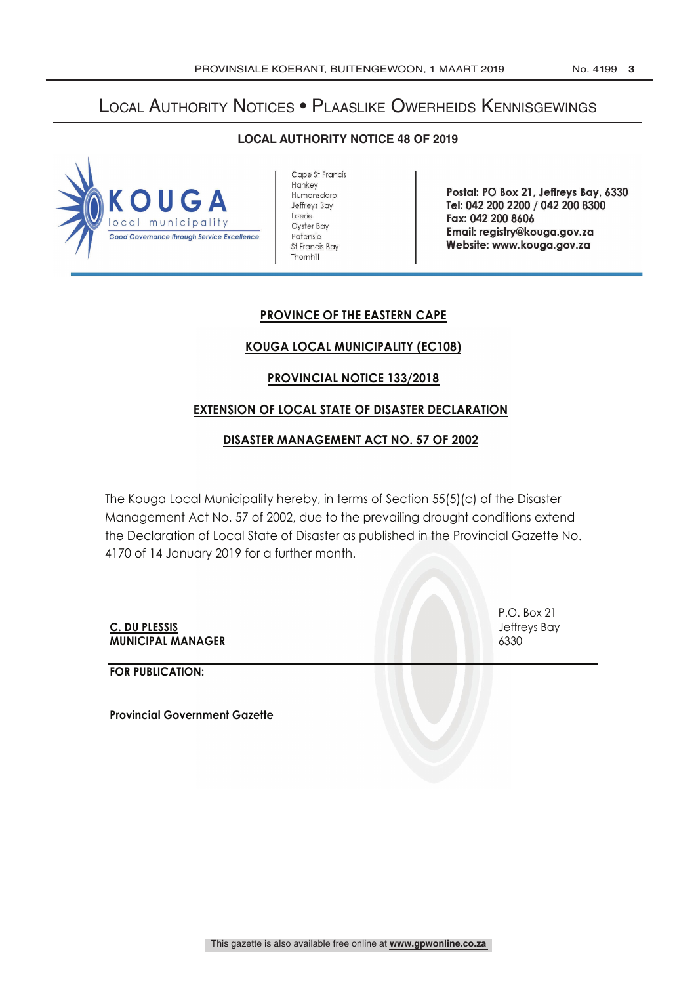# Local Authority Notices • Plaaslike Owerheids Kennisgewings

### **LOCAL AUTHORITY NOTICE 48 OF 2019**



Cape St Francis **Hankey** Humansdorp Jeffreys Bay Loerie Oyster Bay Patensie St Francis Bay Thornhill

Postal: PO Box 21, Jeffreys Bay, 6330 Tel: 042 200 2200 / 042 200 8300 Fax: 042 200 8606 Email: registry @kouga.gov.za Website: www.kouga.gov.za

# **PROVINCE OF THE EASTERN CAPE**

## **KOUGA LOCAL MUNICIPALITY (EC108)**

## **PROVINCIAL NOTICE 133/2018**

### **EXTENSION OF LOCAL STATE OF DISASTER DECLARATION**

## **DISASTER MANAGEMENT ACT NO. 57 OF 2002**

The Kouga Local Municipality hereby, in terms of Section 55(5)(c) of the Disaster Management Act No. 57 of 2002, due to the prevailing drought conditions extend the Declaration of Local State of Disaster as published in the Provincial Gazette No. 4170 of 14 January 2019 for a further month.

**C. DU PLESSIS** Jeffreys Bay **MUNICIPAL MANAGER** 6330

**FOR PUBLICATION:**

**Provincial Government Gazette**

P.O. Box 21